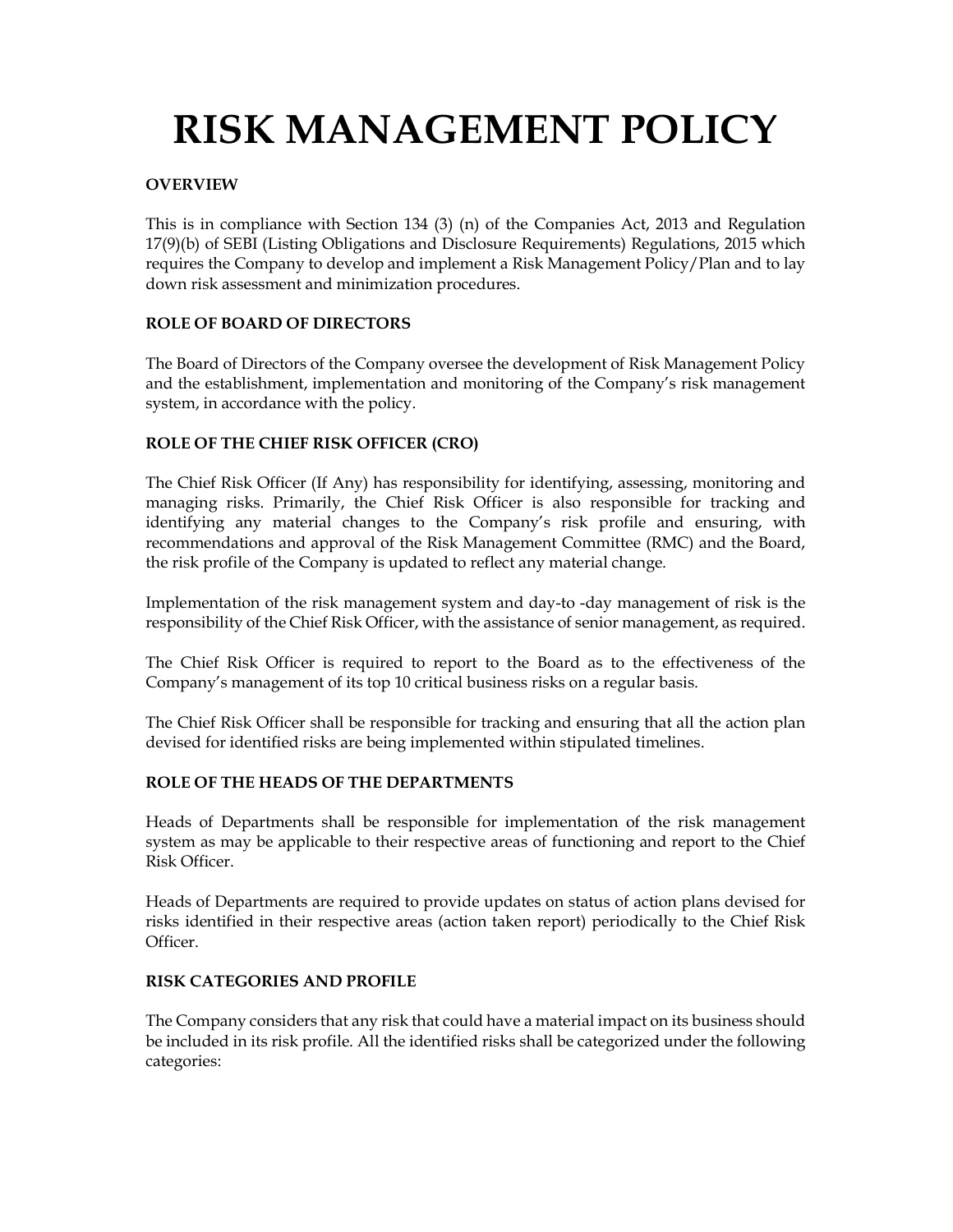# RISK MANAGEMENT POLICY

# OVERVIEW

This is in compliance with Section 134 (3) (n) of the Companies Act, 2013 and Regulation 17(9)(b) of SEBI (Listing Obligations and Disclosure Requirements) Regulations, 2015 which requires the Company to develop and implement a Risk Management Policy/Plan and to lay down risk assessment and minimization procedures.

# ROLE OF BOARD OF DIRECTORS

The Board of Directors of the Company oversee the development of Risk Management Policy and the establishment, implementation and monitoring of the Company's risk management system, in accordance with the policy.

# ROLE OF THE CHIEF RISK OFFICER (CRO)

The Chief Risk Officer (If Any) has responsibility for identifying, assessing, monitoring and managing risks. Primarily, the Chief Risk Officer is also responsible for tracking and identifying any material changes to the Company's risk profile and ensuring, with recommendations and approval of the Risk Management Committee (RMC) and the Board, the risk profile of the Company is updated to reflect any material change.

Implementation of the risk management system and day-to -day management of risk is the responsibility of the Chief Risk Officer, with the assistance of senior management, as required.

The Chief Risk Officer is required to report to the Board as to the effectiveness of the Company's management of its top 10 critical business risks on a regular basis.

The Chief Risk Officer shall be responsible for tracking and ensuring that all the action plan devised for identified risks are being implemented within stipulated timelines.

## ROLE OF THE HEADS OF THE DEPARTMENTS

Heads of Departments shall be responsible for implementation of the risk management system as may be applicable to their respective areas of functioning and report to the Chief Risk Officer.

Heads of Departments are required to provide updates on status of action plans devised for risks identified in their respective areas (action taken report) periodically to the Chief Risk Officer.

## RISK CATEGORIES AND PROFILE

The Company considers that any risk that could have a material impact on its business should be included in its risk profile. All the identified risks shall be categorized under the following categories: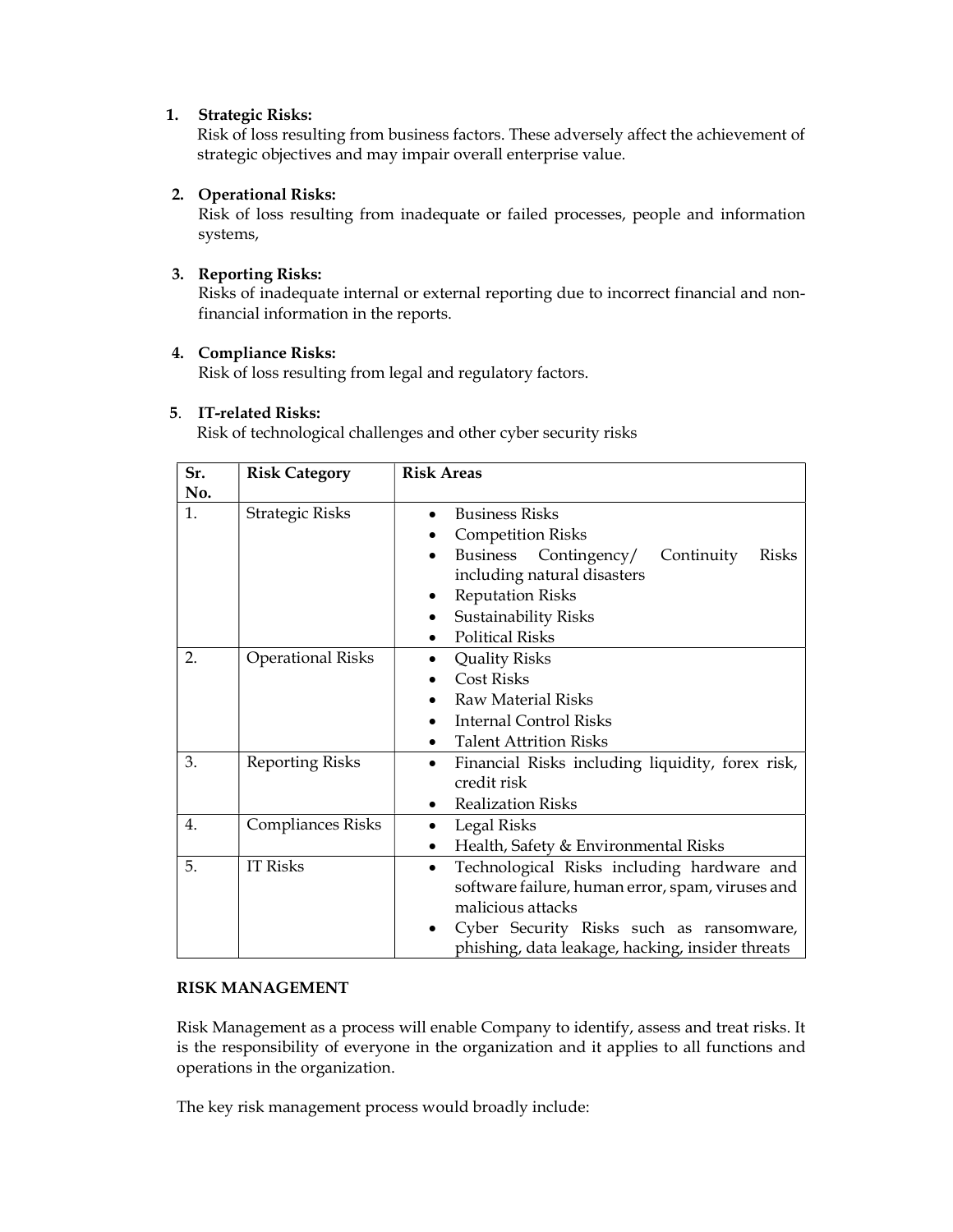## 1. Strategic Risks:

Risk of loss resulting from business factors. These adversely affect the achievement of strategic objectives and may impair overall enterprise value.

# 2. Operational Risks:

Risk of loss resulting from inadequate or failed processes, people and information systems,

# 3. Reporting Risks:

Risks of inadequate internal or external reporting due to incorrect financial and nonfinancial information in the reports.

## 4. Compliance Risks:

Risk of loss resulting from legal and regulatory factors.

# 5. IT-related Risks:

Risk of technological challenges and other cyber security risks

| Sr. | <b>Risk Category</b>     | <b>Risk Areas</b>                                                                                                                                                                                                                                    |
|-----|--------------------------|------------------------------------------------------------------------------------------------------------------------------------------------------------------------------------------------------------------------------------------------------|
| No. |                          |                                                                                                                                                                                                                                                      |
| 1.  | <b>Strategic Risks</b>   | <b>Business Risks</b><br>$\bullet$<br><b>Competition Risks</b><br>Contingency/<br>Business<br>Continuity<br>Risks<br>$\bullet$<br>including natural disasters<br><b>Reputation Risks</b><br>٠<br>Sustainability Risks<br><b>Political Risks</b><br>٠ |
| 2.  | <b>Operational Risks</b> | <b>Quality Risks</b><br>$\bullet$<br><b>Cost Risks</b><br>$\bullet$<br>Raw Material Risks<br>Internal Control Risks<br><b>Talent Attrition Risks</b><br>$\bullet$                                                                                    |
| 3.  | <b>Reporting Risks</b>   | Financial Risks including liquidity, forex risk,<br>$\bullet$<br>credit risk<br><b>Realization Risks</b><br>٠                                                                                                                                        |
| 4.  | <b>Compliances Risks</b> | Legal Risks<br>$\bullet$<br>Health, Safety & Environmental Risks<br>$\bullet$                                                                                                                                                                        |
| 5.  | <b>IT Risks</b>          | Technological Risks including hardware and<br>$\bullet$<br>software failure, human error, spam, viruses and<br>malicious attacks<br>Cyber Security Risks such as ransomware,<br>٠<br>phishing, data leakage, hacking, insider threats                |

# RISK MANAGEMENT

Risk Management as a process will enable Company to identify, assess and treat risks. It is the responsibility of everyone in the organization and it applies to all functions and operations in the organization.

The key risk management process would broadly include: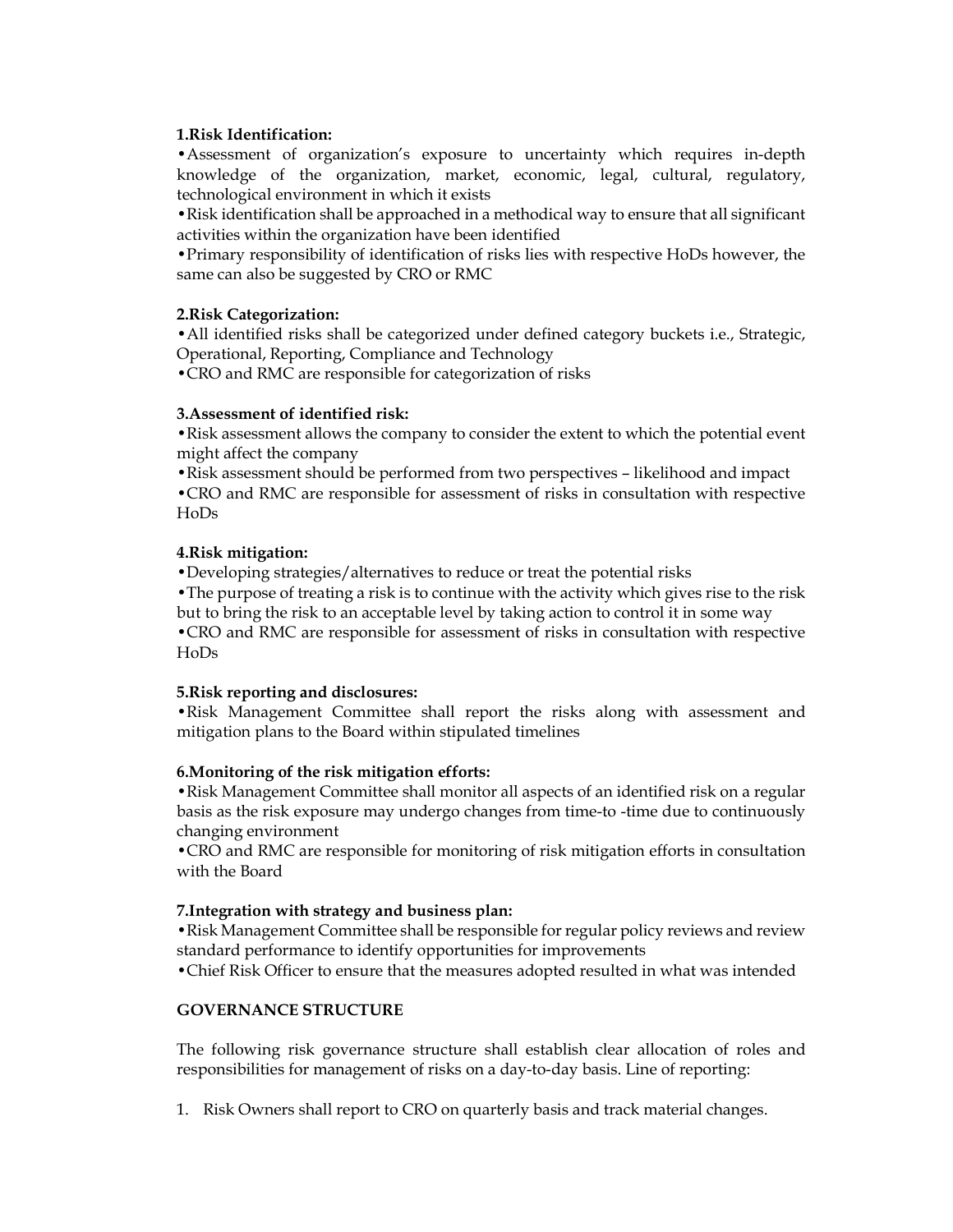#### 1.Risk Identification:

•Assessment of organization's exposure to uncertainty which requires in-depth knowledge of the organization, market, economic, legal, cultural, regulatory, technological environment in which it exists

•Risk identification shall be approached in a methodical way to ensure that all significant activities within the organization have been identified

•Primary responsibility of identification of risks lies with respective HoDs however, the same can also be suggested by CRO or RMC

#### 2.Risk Categorization:

•All identified risks shall be categorized under defined category buckets i.e., Strategic, Operational, Reporting, Compliance and Technology

•CRO and RMC are responsible for categorization of risks

#### 3.Assessment of identified risk:

•Risk assessment allows the company to consider the extent to which the potential event might affect the company

•Risk assessment should be performed from two perspectives – likelihood and impact

•CRO and RMC are responsible for assessment of risks in consultation with respective HoDs

#### 4.Risk mitigation:

•Developing strategies/alternatives to reduce or treat the potential risks

•The purpose of treating a risk is to continue with the activity which gives rise to the risk but to bring the risk to an acceptable level by taking action to control it in some way

•CRO and RMC are responsible for assessment of risks in consultation with respective HoDs

#### 5.Risk reporting and disclosures:

•Risk Management Committee shall report the risks along with assessment and mitigation plans to the Board within stipulated timelines

## 6.Monitoring of the risk mitigation efforts:

•Risk Management Committee shall monitor all aspects of an identified risk on a regular basis as the risk exposure may undergo changes from time-to -time due to continuously changing environment

•CRO and RMC are responsible for monitoring of risk mitigation efforts in consultation with the Board

#### 7.Integration with strategy and business plan:

•Risk Management Committee shall be responsible for regular policy reviews and review standard performance to identify opportunities for improvements

•Chief Risk Officer to ensure that the measures adopted resulted in what was intended

## GOVERNANCE STRUCTURE

The following risk governance structure shall establish clear allocation of roles and responsibilities for management of risks on a day-to-day basis. Line of reporting:

1. Risk Owners shall report to CRO on quarterly basis and track material changes.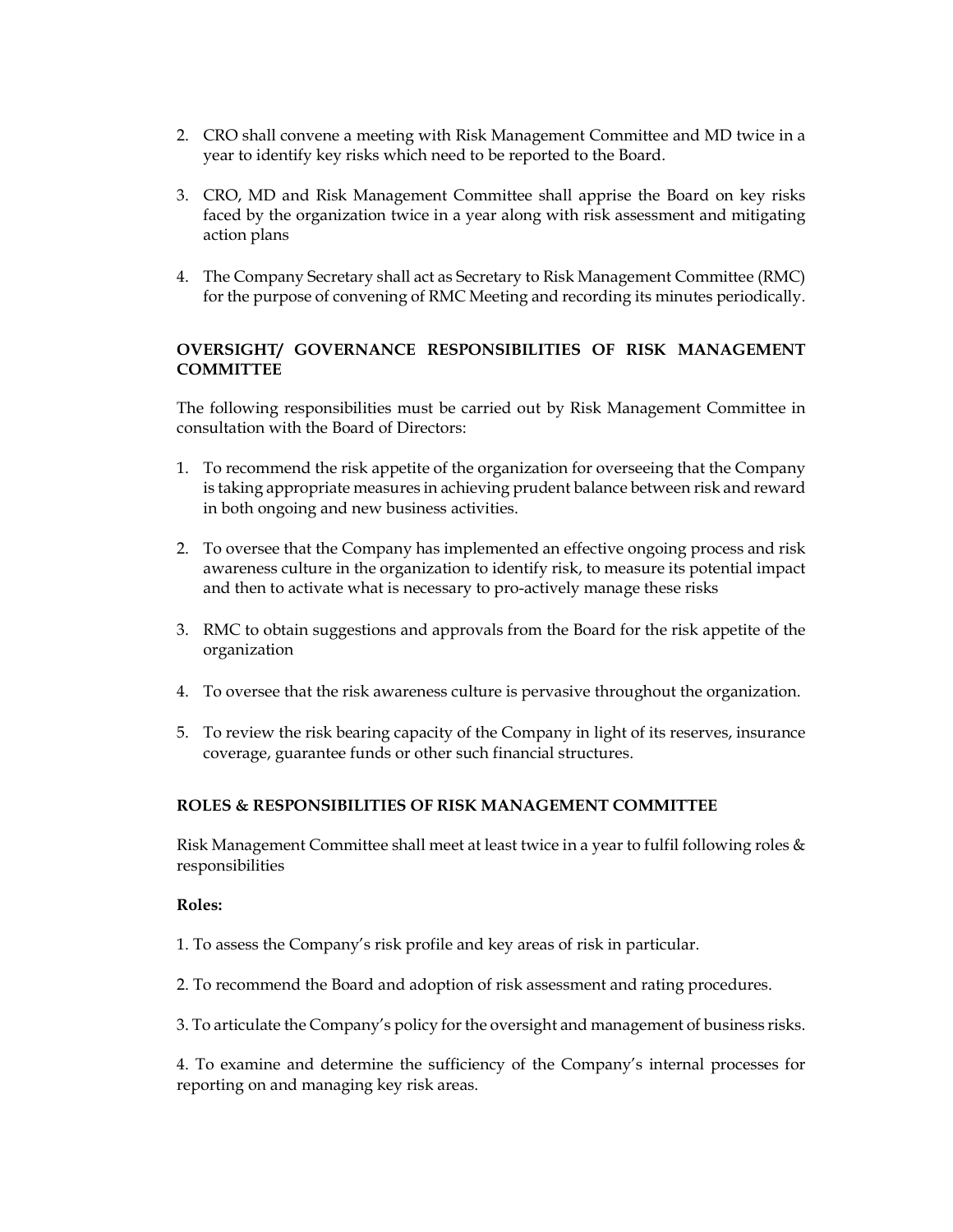- 2. CRO shall convene a meeting with Risk Management Committee and MD twice in a year to identify key risks which need to be reported to the Board.
- 3. CRO, MD and Risk Management Committee shall apprise the Board on key risks faced by the organization twice in a year along with risk assessment and mitigating action plans
- 4. The Company Secretary shall act as Secretary to Risk Management Committee (RMC) for the purpose of convening of RMC Meeting and recording its minutes periodically.

# OVERSIGHT/ GOVERNANCE RESPONSIBILITIES OF RISK MANAGEMENT **COMMITTEE**

The following responsibilities must be carried out by Risk Management Committee in consultation with the Board of Directors:

- 1. To recommend the risk appetite of the organization for overseeing that the Company is taking appropriate measures in achieving prudent balance between risk and reward in both ongoing and new business activities.
- 2. To oversee that the Company has implemented an effective ongoing process and risk awareness culture in the organization to identify risk, to measure its potential impact and then to activate what is necessary to pro-actively manage these risks
- 3. RMC to obtain suggestions and approvals from the Board for the risk appetite of the organization
- 4. To oversee that the risk awareness culture is pervasive throughout the organization.
- 5. To review the risk bearing capacity of the Company in light of its reserves, insurance coverage, guarantee funds or other such financial structures.

# ROLES & RESPONSIBILITIES OF RISK MANAGEMENT COMMITTEE

Risk Management Committee shall meet at least twice in a year to fulfil following roles & responsibilities

## Roles:

1. To assess the Company's risk profile and key areas of risk in particular.

- 2. To recommend the Board and adoption of risk assessment and rating procedures.
- 3. To articulate the Company's policy for the oversight and management of business risks.

4. To examine and determine the sufficiency of the Company's internal processes for reporting on and managing key risk areas.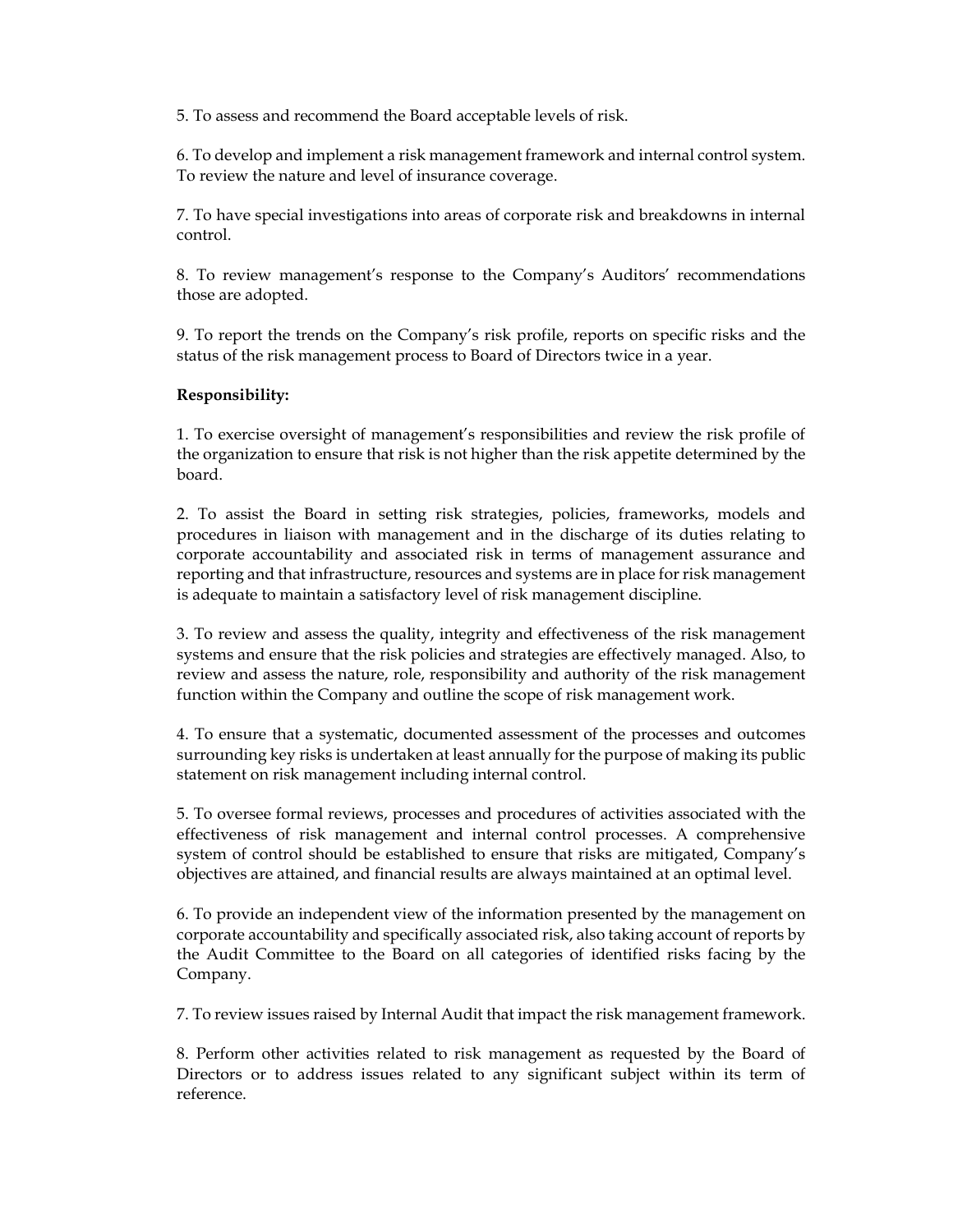5. To assess and recommend the Board acceptable levels of risk.

6. To develop and implement a risk management framework and internal control system. To review the nature and level of insurance coverage.

7. To have special investigations into areas of corporate risk and breakdowns in internal control.

8. To review management's response to the Company's Auditors' recommendations those are adopted.

9. To report the trends on the Company's risk profile, reports on specific risks and the status of the risk management process to Board of Directors twice in a year.

## Responsibility:

1. To exercise oversight of management's responsibilities and review the risk profile of the organization to ensure that risk is not higher than the risk appetite determined by the board.

2. To assist the Board in setting risk strategies, policies, frameworks, models and procedures in liaison with management and in the discharge of its duties relating to corporate accountability and associated risk in terms of management assurance and reporting and that infrastructure, resources and systems are in place for risk management is adequate to maintain a satisfactory level of risk management discipline.

3. To review and assess the quality, integrity and effectiveness of the risk management systems and ensure that the risk policies and strategies are effectively managed. Also, to review and assess the nature, role, responsibility and authority of the risk management function within the Company and outline the scope of risk management work.

4. To ensure that a systematic, documented assessment of the processes and outcomes surrounding key risks is undertaken at least annually for the purpose of making its public statement on risk management including internal control.

5. To oversee formal reviews, processes and procedures of activities associated with the effectiveness of risk management and internal control processes. A comprehensive system of control should be established to ensure that risks are mitigated, Company's objectives are attained, and financial results are always maintained at an optimal level.

6. To provide an independent view of the information presented by the management on corporate accountability and specifically associated risk, also taking account of reports by the Audit Committee to the Board on all categories of identified risks facing by the Company.

7. To review issues raised by Internal Audit that impact the risk management framework.

8. Perform other activities related to risk management as requested by the Board of Directors or to address issues related to any significant subject within its term of reference.